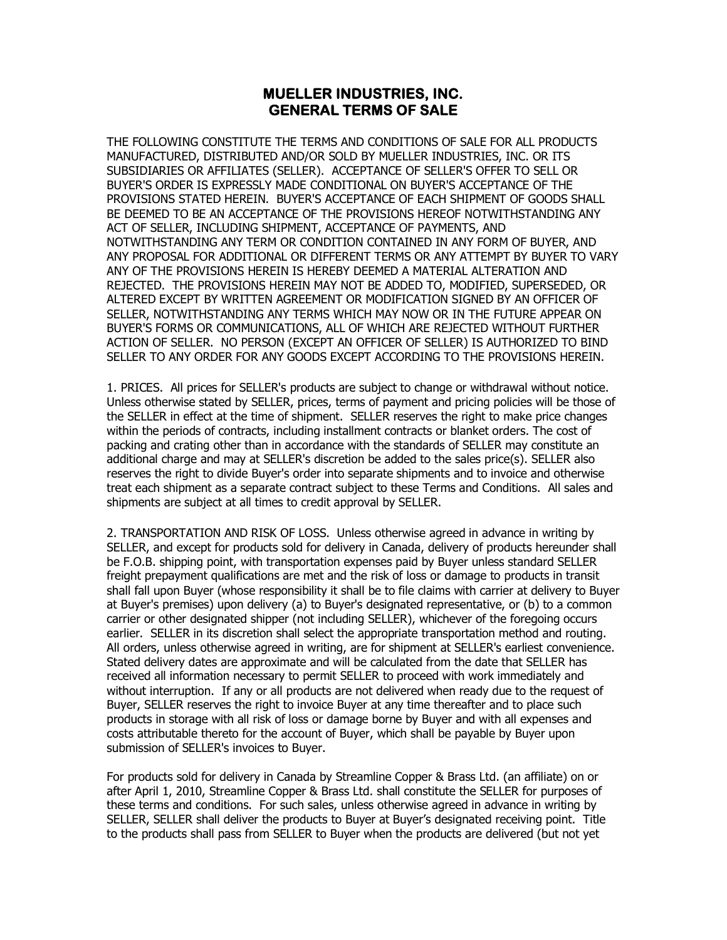## **MUELLER INDUSTRIES, INC. GENERAL TERMS OF SALE**

THE FOLLOWING CONSTITUTE THE TERMS AND CONDITIONS OF SALE FOR ALL PRODUCTS MANUFACTURED, DISTRIBUTED AND/OR SOLD BY MUELLER INDUSTRIES, INC. OR ITS SUBSIDIARIES OR AFFILIATES (SELLER). ACCEPTANCE OF SELLER'S OFFER TO SELL OR BUYER'S ORDER IS EXPRESSLY MADE CONDITIONAL ON BUYER'S ACCEPTANCE OF THE PROVISIONS STATED HEREIN. BUYER'S ACCEPTANCE OF EACH SHIPMENT OF GOODS SHALL BE DEEMED TO BE AN ACCEPTANCE OF THE PROVISIONS HEREOF NOTWITHSTANDING ANY ACT OF SELLER, INCLUDING SHIPMENT, ACCEPTANCE OF PAYMENTS, AND NOTWITHSTANDING ANY TERM OR CONDITION CONTAINED IN ANY FORM OF BUYER, AND ANY PROPOSAL FOR ADDITIONAL OR DIFFERENT TERMS OR ANY ATTEMPT BY BUYER TO VARY ANY OF THE PROVISIONS HEREIN IS HEREBY DEEMED A MATERIAL ALTERATION AND REJECTED. THE PROVISIONS HEREIN MAY NOT BE ADDED TO, MODIFIED, SUPERSEDED, OR ALTERED EXCEPT BY WRITTEN AGREEMENT OR MODIFICATION SIGNED BY AN OFFICER OF SELLER, NOTWITHSTANDING ANY TERMS WHICH MAY NOW OR IN THE FUTURE APPEAR ON BUYER'S FORMS OR COMMUNICATIONS, ALL OF WHICH ARE REJECTED WITHOUT FURTHER ACTION OF SELLER. NO PERSON (EXCEPT AN OFFICER OF SELLER) IS AUTHORIZED TO BIND SELLER TO ANY ORDER FOR ANY GOODS EXCEPT ACCORDING TO THE PROVISIONS HEREIN.

1. PRICES. All prices for SELLER's products are subject to change or withdrawal without notice. Unless otherwise stated by SELLER, prices, terms of payment and pricing policies will be those of the SELLER in effect at the time of shipment. SELLER reserves the right to make price changes within the periods of contracts, including installment contracts or blanket orders. The cost of packing and crating other than in accordance with the standards of SELLER may constitute an additional charge and may at SELLER's discretion be added to the sales price(s). SELLER also reserves the right to divide Buyer's order into separate shipments and to invoice and otherwise treat each shipment as a separate contract subject to these Terms and Conditions. All sales and shipments are subject at all times to credit approval by SELLER.

2. TRANSPORTATION AND RISK OF LOSS. Unless otherwise agreed in advance in writing by SELLER, and except for products sold for delivery in Canada, delivery of products hereunder shall be F.O.B. shipping point, with transportation expenses paid by Buyer unless standard SELLER freight prepayment qualifications are met and the risk of loss or damage to products in transit shall fall upon Buyer (whose responsibility it shall be to file claims with carrier at delivery to Buyer at Buyer's premises) upon delivery (a) to Buyer's designated representative, or (b) to a common carrier or other designated shipper (not including SELLER), whichever of the foregoing occurs earlier. SELLER in its discretion shall select the appropriate transportation method and routing. All orders, unless otherwise agreed in writing, are for shipment at SELLER's earliest convenience. Stated delivery dates are approximate and will be calculated from the date that SELLER has received all information necessary to permit SELLER to proceed with work immediately and without interruption. If any or all products are not delivered when ready due to the request of Buyer, SELLER reserves the right to invoice Buyer at any time thereafter and to place such products in storage with all risk of loss or damage borne by Buyer and with all expenses and costs attributable thereto for the account of Buyer, which shall be payable by Buyer upon submission of SELLER's invoices to Buyer.

For products sold for delivery in Canada by Streamline Copper & Brass Ltd. (an affiliate) on or after April 1, 2010, Streamline Copper & Brass Ltd. shall constitute the SELLER for purposes of these terms and conditions. For such sales, unless otherwise agreed in advance in writing by SELLER, SELLER shall deliver the products to Buyer at Buyer's designated receiving point. Title to the products shall pass from SELLER to Buyer when the products are delivered (but not yet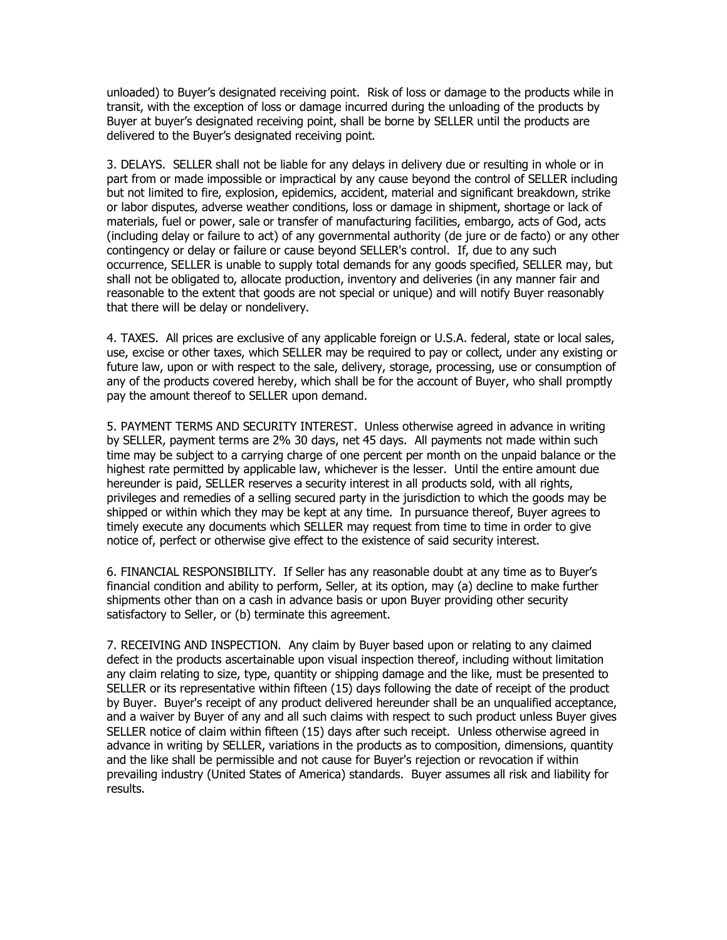unloaded) to Buyer's designated receiving point. Risk of loss or damage to the products while in transit, with the exception of loss or damage incurred during the unloading of the products by Buyer at buyer's designated receiving point, shall be borne by SELLER until the products are delivered to the Buyer's designated receiving point.

3. DELAYS. SELLER shall not be liable for any delays in delivery due or resulting in whole or in part from or made impossible or impractical by any cause beyond the control of SELLER including but not limited to fire, explosion, epidemics, accident, material and significant breakdown, strike or labor disputes, adverse weather conditions, loss or damage in shipment, shortage or lack of materials, fuel or power, sale or transfer of manufacturing facilities, embargo, acts of God, acts (including delay or failure to act) of any governmental authority (de jure or de facto) or any other contingency or delay or failure or cause beyond SELLER's control. If, due to any such occurrence, SELLER is unable to supply total demands for any goods specified, SELLER may, but shall not be obligated to, allocate production, inventory and deliveries (in any manner fair and reasonable to the extent that goods are not special or unique) and will notify Buyer reasonably that there will be delay or nondelivery.

4. TAXES. All prices are exclusive of any applicable foreign or U.S.A. federal, state or local sales, use, excise or other taxes, which SELLER may be required to pay or collect, under any existing or future law, upon or with respect to the sale, delivery, storage, processing, use or consumption of any of the products covered hereby, which shall be for the account of Buyer, who shall promptly pay the amount thereof to SELLER upon demand.

5. PAYMENT TERMS AND SECURITY INTEREST. Unless otherwise agreed in advance in writing by SELLER, payment terms are 2% 30 days, net 45 days. All payments not made within such time may be subject to a carrying charge of one percent per month on the unpaid balance or the highest rate permitted by applicable law, whichever is the lesser. Until the entire amount due hereunder is paid, SELLER reserves a security interest in all products sold, with all rights, privileges and remedies of a selling secured party in the jurisdiction to which the goods may be shipped or within which they may be kept at any time. In pursuance thereof, Buyer agrees to timely execute any documents which SELLER may request from time to time in order to give notice of, perfect or otherwise give effect to the existence of said security interest.

6. FINANCIAL RESPONSIBILITY. If Seller has any reasonable doubt at any time as to Buyer's financial condition and ability to perform, Seller, at its option, may (a) decline to make further shipments other than on a cash in advance basis or upon Buyer providing other security satisfactory to Seller, or (b) terminate this agreement.

7. RECEIVING AND INSPECTION. Any claim by Buyer based upon or relating to any claimed defect in the products ascertainable upon visual inspection thereof, including without limitation any claim relating to size, type, quantity or shipping damage and the like, must be presented to SELLER or its representative within fifteen (15) days following the date of receipt of the product by Buyer. Buyer's receipt of any product delivered hereunder shall be an unqualified acceptance, and a waiver by Buyer of any and all such claims with respect to such product unless Buyer gives SELLER notice of claim within fifteen (15) days after such receipt. Unless otherwise agreed in advance in writing by SELLER, variations in the products as to composition, dimensions, quantity and the like shall be permissible and not cause for Buyer's rejection or revocation if within prevailing industry (United States of America) standards. Buyer assumes all risk and liability for results.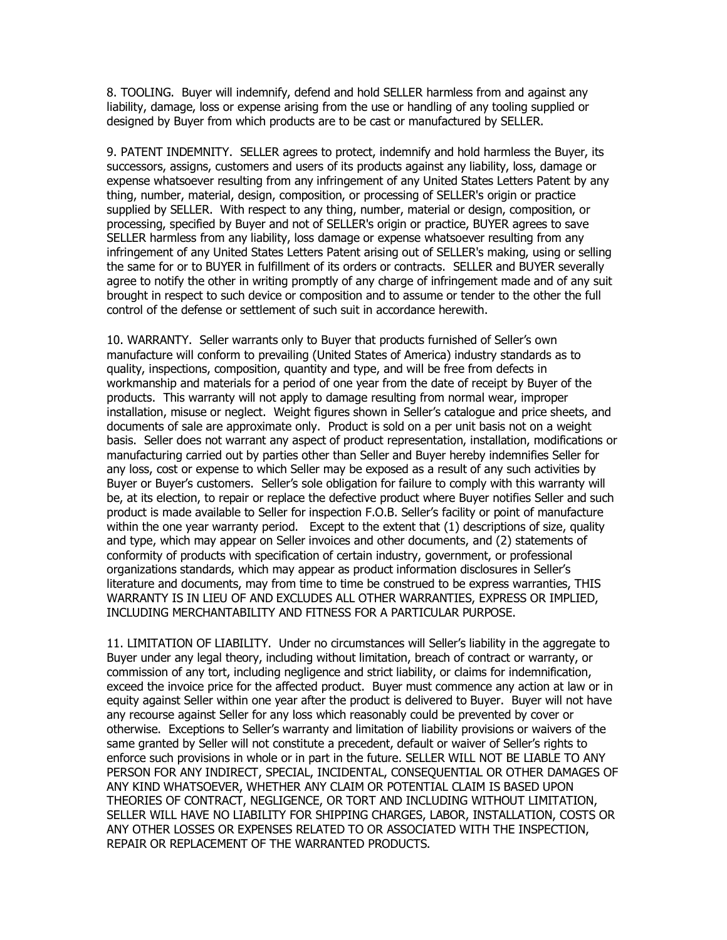8. TOOLING. Buyer will indemnify, defend and hold SELLER harmless from and against any liability, damage, loss or expense arising from the use or handling of any tooling supplied or designed by Buyer from which products are to be cast or manufactured by SELLER.

9. PATENT INDEMNITY. SELLER agrees to protect, indemnify and hold harmless the Buyer, its successors, assigns, customers and users of its products against any liability, loss, damage or expense whatsoever resulting from any infringement of any United States Letters Patent by any thing, number, material, design, composition, or processing of SELLER's origin or practice supplied by SELLER. With respect to any thing, number, material or design, composition, or processing, specified by Buyer and not of SELLER's origin or practice, BUYER agrees to save SELLER harmless from any liability, loss damage or expense whatsoever resulting from any infringement of any United States Letters Patent arising out of SELLER's making, using or selling the same for or to BUYER in fulfillment of its orders or contracts. SELLER and BUYER severally agree to notify the other in writing promptly of any charge of infringement made and of any suit brought in respect to such device or composition and to assume or tender to the other the full control of the defense or settlement of such suit in accordance herewith.

10. WARRANTY. Seller warrants only to Buyer that products furnished of Seller's own manufacture will conform to prevailing (United States of America) industry standards as to quality, inspections, composition, quantity and type, and will be free from defects in workmanship and materials for a period of one year from the date of receipt by Buyer of the products. This warranty will not apply to damage resulting from normal wear, improper installation, misuse or neglect. Weight figures shown in Seller's catalogue and price sheets, and documents of sale are approximate only. Product is sold on a per unit basis not on a weight basis. Seller does not warrant any aspect of product representation, installation, modifications or manufacturing carried out by parties other than Seller and Buyer hereby indemnifies Seller for any loss, cost or expense to which Seller may be exposed as a result of any such activities by Buyer or Buyer's customers. Seller's sole obligation for failure to comply with this warranty will be, at its election, to repair or replace the defective product where Buyer notifies Seller and such product is made available to Seller for inspection F.O.B. Seller's facility or point of manufacture within the one year warranty period. Except to the extent that (1) descriptions of size, quality and type, which may appear on Seller invoices and other documents, and (2) statements of conformity of products with specification of certain industry, government, or professional organizations standards, which may appear as product information disclosures in Seller's literature and documents, may from time to time be construed to be express warranties, THIS WARRANTY IS IN LIEU OF AND EXCLUDES ALL OTHER WARRANTIES, EXPRESS OR IMPLIED, INCLUDING MERCHANTABILITY AND FITNESS FOR A PARTICULAR PURPOSE.

11. LIMITATION OF LIABILITY. Under no circumstances will Seller's liability in the aggregate to Buyer under any legal theory, including without limitation, breach of contract or warranty, or commission of any tort, including negligence and strict liability, or claims for indemnification, exceed the invoice price for the affected product. Buyer must commence any action at law or in equity against Seller within one year after the product is delivered to Buyer. Buyer will not have any recourse against Seller for any loss which reasonably could be prevented by cover or otherwise. Exceptions to Seller's warranty and limitation of liability provisions or waivers of the same granted by Seller will not constitute a precedent, default or waiver of Seller's rights to enforce such provisions in whole or in part in the future. SELLER WILL NOT BE LIABLE TO ANY PERSON FOR ANY INDIRECT, SPECIAL, INCIDENTAL, CONSEQUENTIAL OR OTHER DAMAGES OF ANY KIND WHATSOEVER, WHETHER ANY CLAIM OR POTENTIAL CLAIM IS BASED UPON THEORIES OF CONTRACT, NEGLIGENCE, OR TORT AND INCLUDING WITHOUT LIMITATION, SELLER WILL HAVE NO LIABILITY FOR SHIPPING CHARGES, LABOR, INSTALLATION, COSTS OR ANY OTHER LOSSES OR EXPENSES RELATED TO OR ASSOCIATED WITH THE INSPECTION, REPAIR OR REPLACEMENT OF THE WARRANTED PRODUCTS.